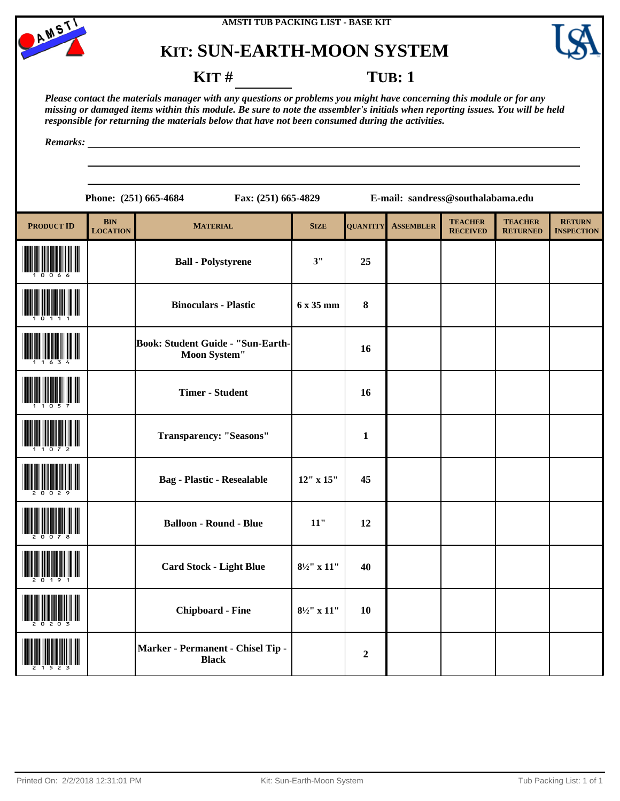





### **KIT** # **TUB**: 1

*Please contact the materials manager with any questions or problems you might have concerning this module or for any missing or damaged items within this module. Be sure to note the assembler's initials when reporting issues. You will be held responsible for returning the materials below that have not been consumed during the activities.*

*Remarks:*

**Phone: (251) 665-4684 Fax: (251) 665-4829 E-mail: sandress@southalabama.edu**

| <b>PRODUCT ID</b> | <b>BIN</b><br><b>LOCATION</b> | <b>MATERIAL</b>                                          | <b>SIZE</b>            | <b>QUANTITY</b>  | <b>ASSEMBLER</b> | <b>TEACHER</b><br><b>RECEIVED</b> | <b>TEACHER</b><br><b>RETURNED</b> | <b>RETURN</b><br><b>INSPECTION</b> |
|-------------------|-------------------------------|----------------------------------------------------------|------------------------|------------------|------------------|-----------------------------------|-----------------------------------|------------------------------------|
|                   |                               | <b>Ball - Polystyrene</b>                                | 3"                     | 25               |                  |                                   |                                   |                                    |
|                   |                               | <b>Binoculars - Plastic</b>                              | 6 x 35 mm              | $\bf{8}$         |                  |                                   |                                   |                                    |
|                   |                               | Book: Student Guide - "Sun-Earth-<br><b>Moon System"</b> |                        | 16               |                  |                                   |                                   |                                    |
|                   |                               | <b>Timer - Student</b>                                   |                        | 16               |                  |                                   |                                   |                                    |
|                   |                               | <b>Transparency: "Seasons"</b>                           |                        | $\mathbf{1}$     |                  |                                   |                                   |                                    |
|                   |                               | <b>Bag - Plastic - Resealable</b>                        | 12" x 15"              | 45               |                  |                                   |                                   |                                    |
|                   |                               | <b>Balloon - Round - Blue</b>                            | $11"$                  | 12               |                  |                                   |                                   |                                    |
|                   |                               | <b>Card Stock - Light Blue</b>                           | $8\frac{1}{2}$ " x 11" | 40               |                  |                                   |                                   |                                    |
|                   |                               | <b>Chipboard - Fine</b>                                  | $8\frac{1}{2}$ " x 11" | 10               |                  |                                   |                                   |                                    |
|                   |                               | Marker - Permanent - Chisel Tip -<br><b>Black</b>        |                        | $\boldsymbol{2}$ |                  |                                   |                                   |                                    |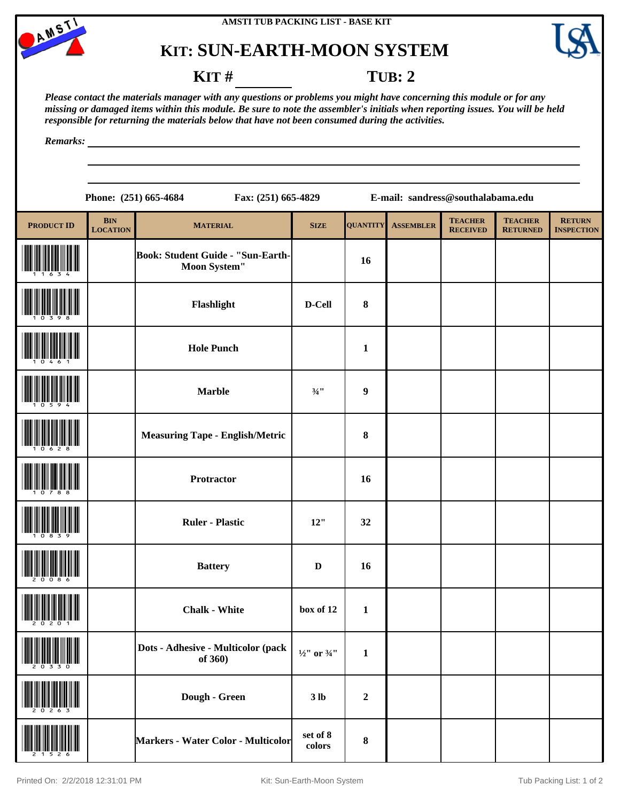





#### **KIT** # **TUB**: 2

*Please contact the materials manager with any questions or problems you might have concerning this module or for any missing or damaged items within this module. Be sure to note the assembler's initials when reporting issues. You will be held responsible for returning the materials below that have not been consumed during the activities.*

*Remarks:*

**Phone: (251) 665-4684 Fax: (251) 665-4829 E-mail: sandress@southalabama.edu PRODUCT ID BIN**<br>**LOCATION LOCATION MATERIAL SIZE QUANTITY ASSEMBLER TEACHER RECEIVED TEACHER RETURNED RETURN INSPECTION** Book: Student Guide - "Sun-Earth-Moon System" 16 (10398) **Flashlight D-Cell <sup>8</sup> Hole Punch 1 1 1 1 1**  $Marble$   $\frac{3}{4}$  9 (10628) **Measuring Tape - English/Metric <sup>8</sup> Protractor 16** (10839) **Ruler - Plastic 12" <sup>32</sup>** (20086) **Battery <sup>D</sup> <sup>16</sup> chalk - White box of 12 1** (20330) **Dots - Adhesive - Multicolor (pack**   $\frac{1}{2}$ " or  $\frac{3}{4}$ " | 1 (20263) **Dough - Green 3 lb <sup>2</sup>**

**colors <sup>8</sup>**

(21526) **Markers - Water Color - Multicolor set of 8**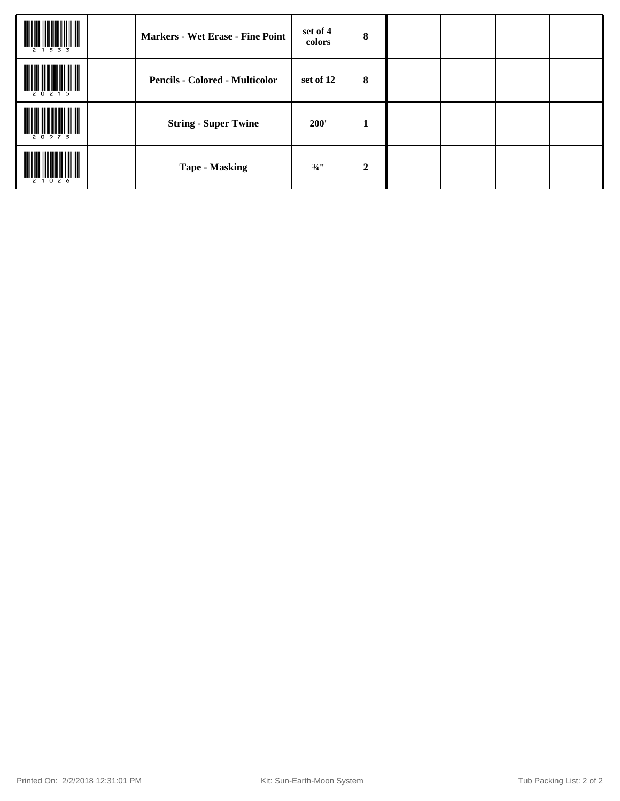| 533       | <b>Markers - Wet Erase - Fine Point</b> | set of 4<br>colors | 8                |  |  |
|-----------|-----------------------------------------|--------------------|------------------|--|--|
| 20215     | <b>Pencils - Colored - Multicolor</b>   | set of 12          | 8                |  |  |
| 20975     | <b>String - Super Twine</b>             | 200'               | 1                |  |  |
| 2 1 0 2 6 | <b>Tape - Masking</b>                   | $\frac{3}{4}$ "    | $\boldsymbol{2}$ |  |  |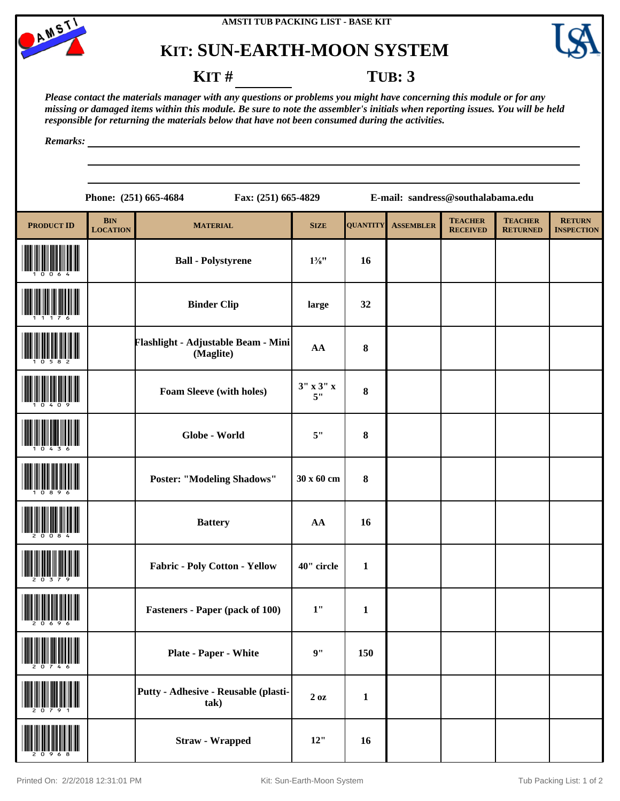





#### **KIT** # **TUB: 3**

*Please contact the materials manager with any questions or problems you might have concerning this module or for any missing or damaged items within this module. Be sure to note the assembler's initials when reporting issues. You will be held responsible for returning the materials below that have not been consumed during the activities.*

*Remarks:*

**Phone: (251) 665-4684 Fax: (251) 665-4829 E-mail: sandress@southalabama.edu**

| <b>PRODUCT ID</b>    | <b>BIN</b><br><b>LOCATION</b> | <b>MATERIAL</b>                                  | <b>SIZE</b>           | <b>QUANTITY</b> | <b>ASSEMBLER</b> | <b>TEACHER</b><br><b>RECEIVED</b> | <b>TEACHER</b><br><b>RETURNED</b> | <b>RETURN</b><br><b>INSPECTION</b> |
|----------------------|-------------------------------|--------------------------------------------------|-----------------------|-----------------|------------------|-----------------------------------|-----------------------------------|------------------------------------|
|                      |                               | <b>Ball - Polystyrene</b>                        | $1\frac{3}{8}$ "      | 16              |                  |                                   |                                   |                                    |
|                      |                               | <b>Binder Clip</b>                               | large                 | 32              |                  |                                   |                                   |                                    |
|                      |                               | Flashlight - Adjustable Beam - Mini<br>(Maglite) | ${\bf AA}$            | 8               |                  |                                   |                                   |                                    |
|                      |                               | Foam Sleeve (with holes)                         | $3''$ x $3''$ x<br>5" | $\bf{8}$        |                  |                                   |                                   |                                    |
|                      |                               | Globe - World                                    | 5"                    | $\pmb{8}$       |                  |                                   |                                   |                                    |
|                      |                               | <b>Poster: "Modeling Shadows"</b>                | 30 x 60 cm            | $\bf{8}$        |                  |                                   |                                   |                                    |
|                      |                               | <b>Battery</b>                                   | AA                    | 16              |                  |                                   |                                   |                                    |
|                      |                               | Fabric - Poly Cotton - Yellow                    | 40" circle            | $\mathbf{1}$    |                  |                                   |                                   |                                    |
|                      |                               | <b>Fasteners - Paper (pack of 100)</b>           | 1"                    | $\mathbf{1}$    |                  |                                   |                                   |                                    |
| <b>THE 2 0 7 4 6</b> |                               | <b>Plate - Paper - White</b>                     | 9"                    | 150             |                  |                                   |                                   |                                    |
|                      |                               | Putty - Adhesive - Reusable (plasti-<br>tak)     | 20z                   | $\mathbf{1}$    |                  |                                   |                                   |                                    |
|                      |                               | <b>Straw - Wrapped</b>                           | 12"                   | 16              |                  |                                   |                                   |                                    |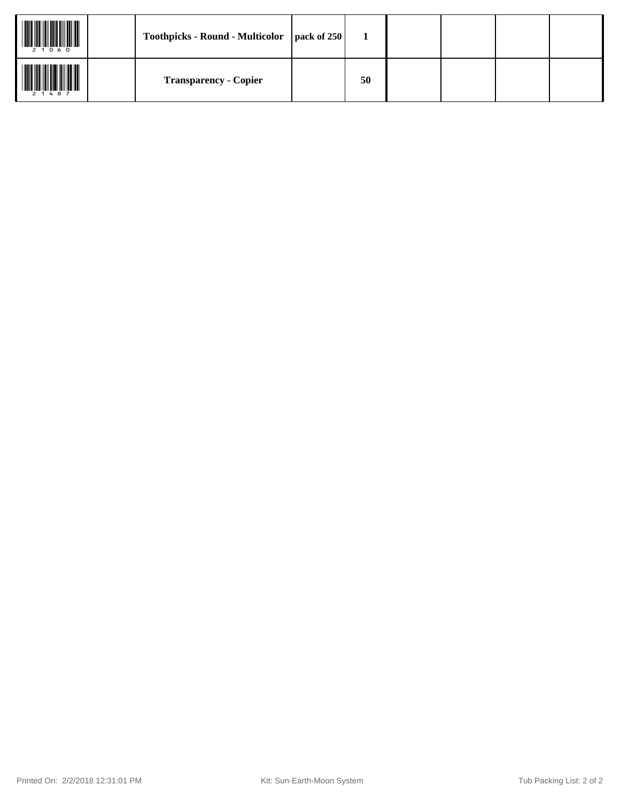| 2 1 0 6 0 | Toothpicks - Round - Multicolor   pack of 250 |    |  |  |
|-----------|-----------------------------------------------|----|--|--|
| 2 1 4 8 7 | <b>Transparency - Copier</b>                  | 50 |  |  |